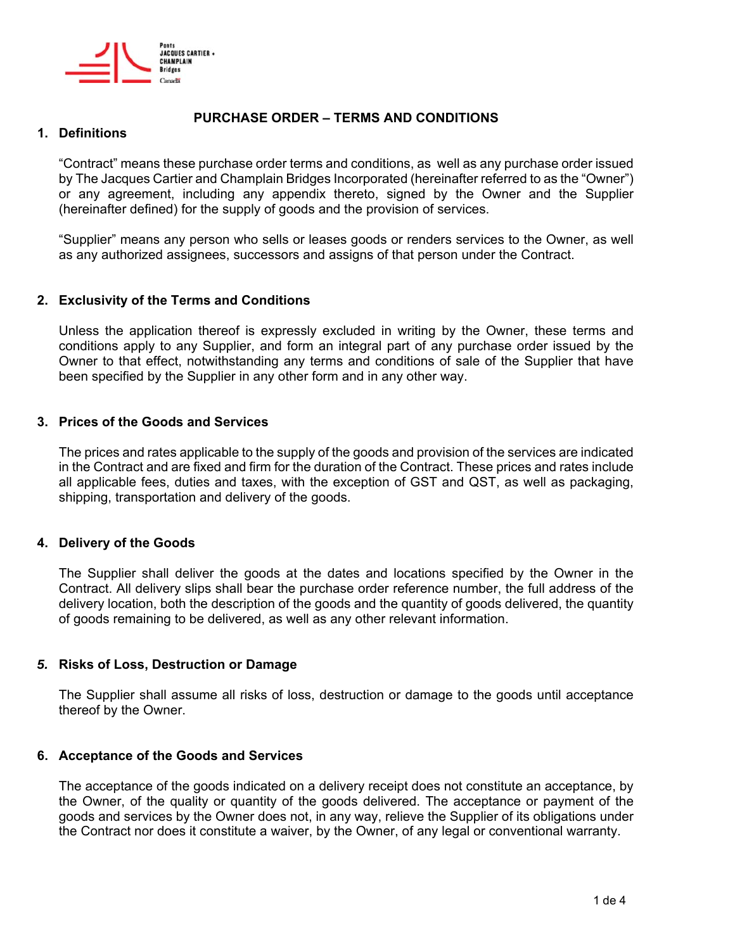

# **PURCHASE ORDER – TERMS AND CONDITIONS**

## **1. Definitions**

"Contract" means these purchase order terms and conditions, as well as any purchase order issued by The Jacques Cartier and Champlain Bridges Incorporated (hereinafter referred to as the "Owner") or any agreement, including any appendix thereto, signed by the Owner and the Supplier (hereinafter defined) for the supply of goods and the provision of services.

"Supplier" means any person who sells or leases goods or renders services to the Owner, as well as any authorized assignees, successors and assigns of that person under the Contract.

# **2. Exclusivity of the Terms and Conditions**

Unless the application thereof is expressly excluded in writing by the Owner, these terms and conditions apply to any Supplier, and form an integral part of any purchase order issued by the Owner to that effect, notwithstanding any terms and conditions of sale of the Supplier that have been specified by the Supplier in any other form and in any other way.

## **3. Prices of the Goods and Services**

The prices and rates applicable to the supply of the goods and provision of the services are indicated in the Contract and are fixed and firm for the duration of the Contract. These prices and rates include all applicable fees, duties and taxes, with the exception of GST and QST, as well as packaging, shipping, transportation and delivery of the goods.

## **4. Delivery of the Goods**

The Supplier shall deliver the goods at the dates and locations specified by the Owner in the Contract. All delivery slips shall bear the purchase order reference number, the full address of the delivery location, both the description of the goods and the quantity of goods delivered, the quantity of goods remaining to be delivered, as well as any other relevant information.

## *5.* **Risks of Loss, Destruction or Damage**

The Supplier shall assume all risks of loss, destruction or damage to the goods until acceptance thereof by the Owner.

## **6. Acceptance of the Goods and Services**

The acceptance of the goods indicated on a delivery receipt does not constitute an acceptance, by the Owner, of the quality or quantity of the goods delivered. The acceptance or payment of the goods and services by the Owner does not, in any way, relieve the Supplier of its obligations under the Contract nor does it constitute a waiver, by the Owner, of any legal or conventional warranty.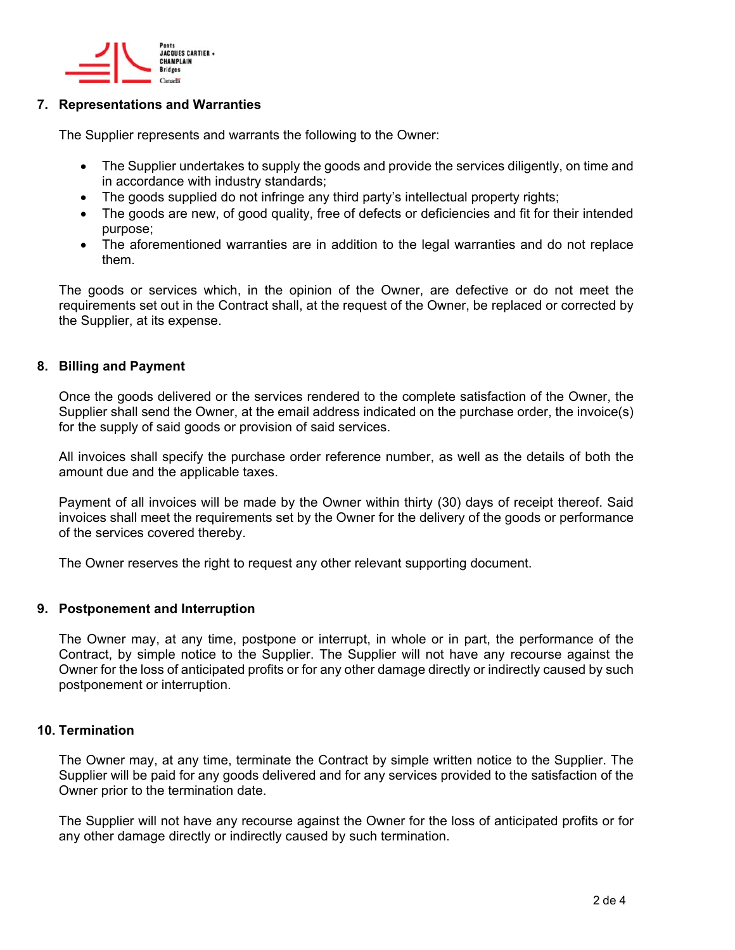

## **7. Representations and Warranties**

The Supplier represents and warrants the following to the Owner:

- The Supplier undertakes to supply the goods and provide the services diligently, on time and in accordance with industry standards;
- The goods supplied do not infringe any third party's intellectual property rights;
- The goods are new, of good quality, free of defects or deficiencies and fit for their intended purpose;
- The aforementioned warranties are in addition to the legal warranties and do not replace them.

The goods or services which, in the opinion of the Owner, are defective or do not meet the requirements set out in the Contract shall, at the request of the Owner, be replaced or corrected by the Supplier, at its expense.

# **8. Billing and Payment**

Once the goods delivered or the services rendered to the complete satisfaction of the Owner, the Supplier shall send the Owner, at the email address indicated on the purchase order, the invoice(s) for the supply of said goods or provision of said services.

All invoices shall specify the purchase order reference number, as well as the details of both the amount due and the applicable taxes.

Payment of all invoices will be made by the Owner within thirty (30) days of receipt thereof. Said invoices shall meet the requirements set by the Owner for the delivery of the goods or performance of the services covered thereby.

The Owner reserves the right to request any other relevant supporting document.

## **9. Postponement and Interruption**

The Owner may, at any time, postpone or interrupt, in whole or in part, the performance of the Contract, by simple notice to the Supplier. The Supplier will not have any recourse against the Owner for the loss of anticipated profits or for any other damage directly or indirectly caused by such postponement or interruption.

## **10. Termination**

The Owner may, at any time, terminate the Contract by simple written notice to the Supplier. The Supplier will be paid for any goods delivered and for any services provided to the satisfaction of the Owner prior to the termination date.

The Supplier will not have any recourse against the Owner for the loss of anticipated profits or for any other damage directly or indirectly caused by such termination.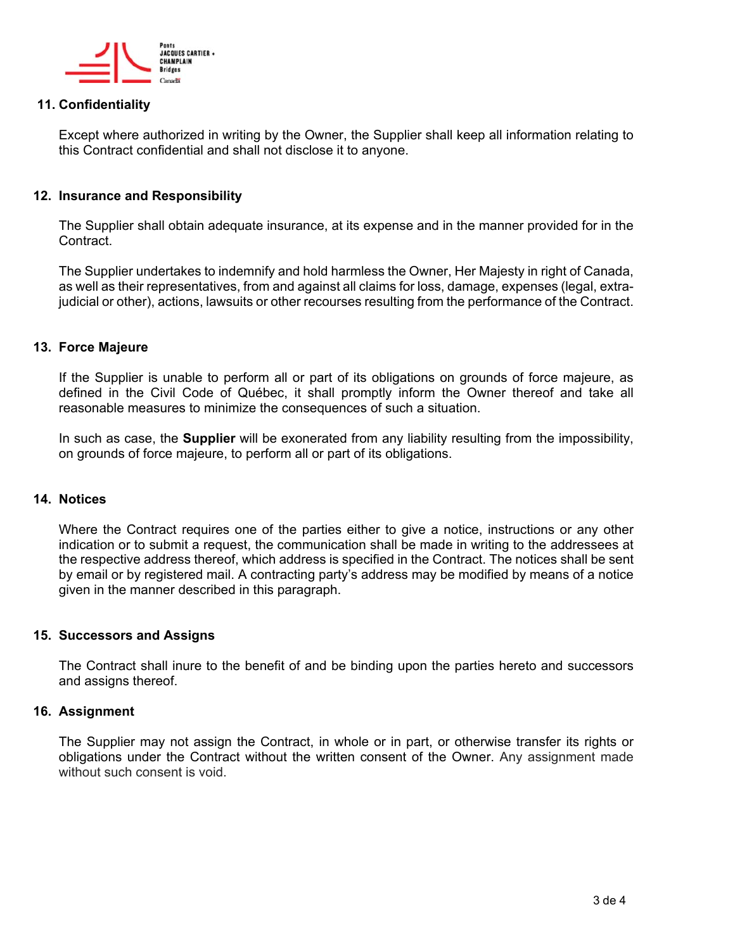

## **11. Confidentiality**

Except where authorized in writing by the Owner, the Supplier shall keep all information relating to this Contract confidential and shall not disclose it to anyone.

### **12. Insurance and Responsibility**

The Supplier shall obtain adequate insurance, at its expense and in the manner provided for in the Contract.

The Supplier undertakes to indemnify and hold harmless the Owner, Her Majesty in right of Canada, as well as their representatives, from and against all claims for loss, damage, expenses (legal, extrajudicial or other), actions, lawsuits or other recourses resulting from the performance of the Contract.

#### **13. Force Majeure**

If the Supplier is unable to perform all or part of its obligations on grounds of force majeure, as defined in the Civil Code of Québec, it shall promptly inform the Owner thereof and take all reasonable measures to minimize the consequences of such a situation.

In such as case, the **Supplier** will be exonerated from any liability resulting from the impossibility, on grounds of force majeure, to perform all or part of its obligations.

#### **14. Notices**

Where the Contract requires one of the parties either to give a notice, instructions or any other indication or to submit a request, the communication shall be made in writing to the addressees at the respective address thereof, which address is specified in the Contract. The notices shall be sent by email or by registered mail. A contracting party's address may be modified by means of a notice given in the manner described in this paragraph.

## **15. Successors and Assigns**

The Contract shall inure to the benefit of and be binding upon the parties hereto and successors and assigns thereof.

### **16. Assignment**

The Supplier may not assign the Contract, in whole or in part, or otherwise transfer its rights or obligations under the Contract without the written consent of the Owner. Any assignment made without such consent is void.